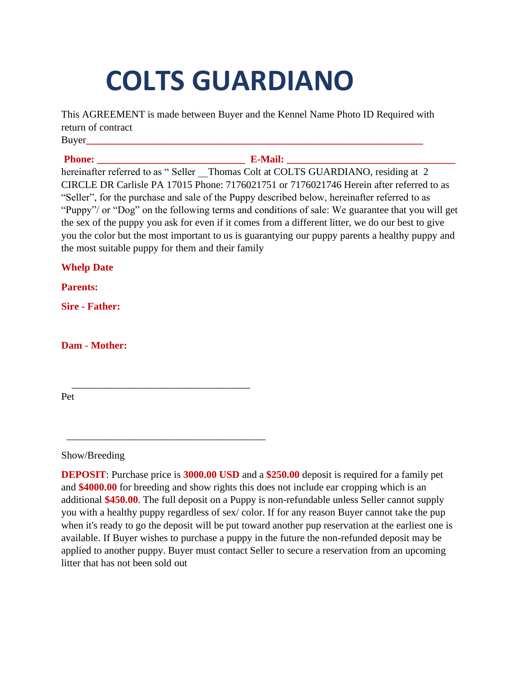## **COLTS GUARDIANO**

This AGREEMENT is made between Buyer and the Kennel Name Photo ID Required with return of contract Buyer**\_\_\_\_\_\_\_\_\_\_\_\_\_\_\_\_\_\_\_\_\_\_\_\_\_\_\_\_\_\_\_\_\_\_\_\_\_\_\_\_\_\_\_\_\_\_\_\_\_\_\_\_\_\_\_\_\_\_\_\_\_\_\_\_\_\_**

**Phone: E-Mail: E-Mail:** *C-Mail:* $\mathbf{E}$ **-Mail:**  $\mathbf{E}$ 

hereinafter referred to as " Seller Thomas Colt at COLTS GUARDIANO, residing at 2 CIRCLE DR Carlisle PA 17015 Phone: 7176021751 or 7176021746 Herein after referred to as "Seller", for the purchase and sale of the Puppy described below, hereinafter referred to as "Puppy"/ or "Dog" on the following terms and conditions of sale: We guarantee that you will get the sex of the puppy you ask for even if it comes from a different litter, we do our best to give you the color but the most important to us is guarantying our puppy parents a healthy puppy and the most suitable puppy for them and their family

**Whelp Date**

**Parents:** 

**Sire - Father:** 

**Dam - Mother:** 

 $\overline{\phantom{a}}$  , and the set of the set of the set of the set of the set of the set of the set of the set of the set of the set of the set of the set of the set of the set of the set of the set of the set of the set of the s

\_\_\_\_\_\_\_\_\_\_\_\_\_\_\_\_\_\_\_\_\_\_\_\_\_\_\_\_\_\_\_\_\_\_\_\_\_\_\_

Pet

Show/Breeding

**DEPOSIT**: Purchase price is **3000.00 USD** and a **\$250.00** deposit is required for a family pet and **\$4000.00** for breeding and show rights this does not include ear cropping which is an additional **\$450.00**. The full deposit on a Puppy is non-refundable unless Seller cannot supply you with a healthy puppy regardless of sex/ color. If for any reason Buyer cannot take the pup when it's ready to go the deposit will be put toward another pup reservation at the earliest one is available. If Buyer wishes to purchase a puppy in the future the non-refunded deposit may be applied to another puppy. Buyer must contact Seller to secure a reservation from an upcoming litter that has not been sold out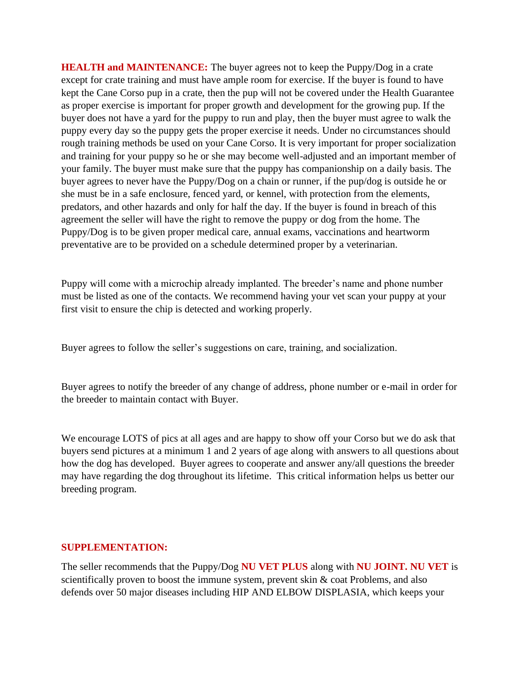**HEALTH and MAINTENANCE:** The buyer agrees not to keep the Puppy/Dog in a crate except for crate training and must have ample room for exercise. If the buyer is found to have kept the Cane Corso pup in a crate, then the pup will not be covered under the Health Guarantee as proper exercise is important for proper growth and development for the growing pup. If the buyer does not have a yard for the puppy to run and play, then the buyer must agree to walk the puppy every day so the puppy gets the proper exercise it needs. Under no circumstances should rough training methods be used on your Cane Corso. It is very important for proper socialization and training for your puppy so he or she may become well-adjusted and an important member of your family. The buyer must make sure that the puppy has companionship on a daily basis. The buyer agrees to never have the Puppy/Dog on a chain or runner, if the pup/dog is outside he or she must be in a safe enclosure, fenced yard, or kennel, with protection from the elements, predators, and other hazards and only for half the day. If the buyer is found in breach of this agreement the seller will have the right to remove the puppy or dog from the home. The Puppy/Dog is to be given proper medical care, annual exams, vaccinations and heartworm preventative are to be provided on a schedule determined proper by a veterinarian.

Puppy will come with a microchip already implanted. The breeder's name and phone number must be listed as one of the contacts. We recommend having your vet scan your puppy at your first visit to ensure the chip is detected and working properly.

Buyer agrees to follow the seller's suggestions on care, training, and socialization.

Buyer agrees to notify the breeder of any change of address, phone number or e-mail in order for the breeder to maintain contact with Buyer.

We encourage LOTS of pics at all ages and are happy to show off your Corso but we do ask that buyers send pictures at a minimum 1 and 2 years of age along with answers to all questions about how the dog has developed. Buyer agrees to cooperate and answer any/all questions the breeder may have regarding the dog throughout its lifetime. This critical information helps us better our breeding program.

## **SUPPLEMENTATION:**

The seller recommends that the Puppy/Dog **NU VET PLUS** along with **NU JOINT. NU VET** is scientifically proven to boost the immune system, prevent skin  $\&$  coat Problems, and also defends over 50 major diseases including HIP AND ELBOW DISPLASIA, which keeps your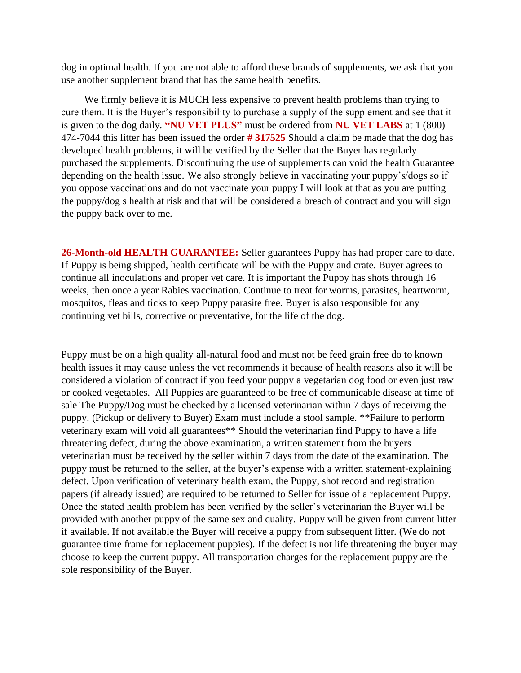dog in optimal health. If you are not able to afford these brands of supplements, we ask that you use another supplement brand that has the same health benefits.

We firmly believe it is MUCH less expensive to prevent health problems than trying to cure them. It is the Buyer's responsibility to purchase a supply of the supplement and see that it is given to the dog daily. **"NU VET PLUS"** must be ordered from **NU VET LABS** at 1 (800) 474-7044 this litter has been issued the order **# 317525** Should a claim be made that the dog has developed health problems, it will be verified by the Seller that the Buyer has regularly purchased the supplements. Discontinuing the use of supplements can void the health Guarantee depending on the health issue. We also strongly believe in vaccinating your puppy's/dogs so if you oppose vaccinations and do not vaccinate your puppy I will look at that as you are putting the puppy/dog s health at risk and that will be considered a breach of contract and you will sign the puppy back over to me.

**26-Month-old HEALTH GUARANTEE:** Seller guarantees Puppy has had proper care to date. If Puppy is being shipped, health certificate will be with the Puppy and crate. Buyer agrees to continue all inoculations and proper vet care. It is important the Puppy has shots through 16 weeks, then once a year Rabies vaccination. Continue to treat for worms, parasites, heartworm, mosquitos, fleas and ticks to keep Puppy parasite free. Buyer is also responsible for any continuing vet bills, corrective or preventative, for the life of the dog.

Puppy must be on a high quality all-natural food and must not be feed grain free do to known health issues it may cause unless the vet recommends it because of health reasons also it will be considered a violation of contract if you feed your puppy a vegetarian dog food or even just raw or cooked vegetables. All Puppies are guaranteed to be free of communicable disease at time of sale The Puppy/Dog must be checked by a licensed veterinarian within 7 days of receiving the puppy. (Pickup or delivery to Buyer) Exam must include a stool sample. \*\*Failure to perform veterinary exam will void all guarantees\*\* Should the veterinarian find Puppy to have a life threatening defect, during the above examination, a written statement from the buyers veterinarian must be received by the seller within 7 days from the date of the examination. The puppy must be returned to the seller, at the buyer's expense with a written statement-explaining defect. Upon verification of veterinary health exam, the Puppy, shot record and registration papers (if already issued) are required to be returned to Seller for issue of a replacement Puppy. Once the stated health problem has been verified by the seller's veterinarian the Buyer will be provided with another puppy of the same sex and quality. Puppy will be given from current litter if available. If not available the Buyer will receive a puppy from subsequent litter. (We do not guarantee time frame for replacement puppies). If the defect is not life threatening the buyer may choose to keep the current puppy. All transportation charges for the replacement puppy are the sole responsibility of the Buyer.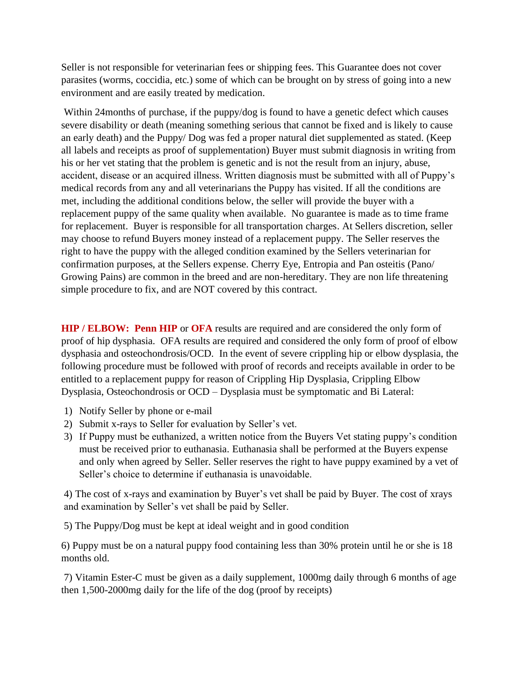Seller is not responsible for veterinarian fees or shipping fees. This Guarantee does not cover parasites (worms, coccidia, etc.) some of which can be brought on by stress of going into a new environment and are easily treated by medication.

Within 24months of purchase, if the puppy/dog is found to have a genetic defect which causes severe disability or death (meaning something serious that cannot be fixed and is likely to cause an early death) and the Puppy/ Dog was fed a proper natural diet supplemented as stated. (Keep all labels and receipts as proof of supplementation) Buyer must submit diagnosis in writing from his or her vet stating that the problem is genetic and is not the result from an injury, abuse, accident, disease or an acquired illness. Written diagnosis must be submitted with all of Puppy's medical records from any and all veterinarians the Puppy has visited. If all the conditions are met, including the additional conditions below, the seller will provide the buyer with a replacement puppy of the same quality when available. No guarantee is made as to time frame for replacement. Buyer is responsible for all transportation charges. At Sellers discretion, seller may choose to refund Buyers money instead of a replacement puppy. The Seller reserves the right to have the puppy with the alleged condition examined by the Sellers veterinarian for confirmation purposes, at the Sellers expense. Cherry Eye, Entropia and Pan osteitis (Pano/ Growing Pains) are common in the breed and are non-hereditary. They are non life threatening simple procedure to fix, and are NOT covered by this contract.

**HIP / ELBOW: Penn HIP** or **OFA** results are required and are considered the only form of proof of hip dysphasia. OFA results are required and considered the only form of proof of elbow dysphasia and osteochondrosis/OCD. In the event of severe crippling hip or elbow dysplasia, the following procedure must be followed with proof of records and receipts available in order to be entitled to a replacement puppy for reason of Crippling Hip Dysplasia, Crippling Elbow Dysplasia, Osteochondrosis or OCD – Dysplasia must be symptomatic and Bi Lateral:

- 1) Notify Seller by phone or e-mail
- 2) Submit x-rays to Seller for evaluation by Seller's vet.
- 3) If Puppy must be euthanized, a written notice from the Buyers Vet stating puppy's condition must be received prior to euthanasia. Euthanasia shall be performed at the Buyers expense and only when agreed by Seller. Seller reserves the right to have puppy examined by a vet of Seller's choice to determine if euthanasia is unavoidable.

4) The cost of x-rays and examination by Buyer's vet shall be paid by Buyer. The cost of xrays and examination by Seller's vet shall be paid by Seller.

5) The Puppy/Dog must be kept at ideal weight and in good condition

6) Puppy must be on a natural puppy food containing less than 30% protein until he or she is 18 months old.

7) Vitamin Ester-C must be given as a daily supplement, 1000mg daily through 6 months of age then 1,500-2000mg daily for the life of the dog (proof by receipts)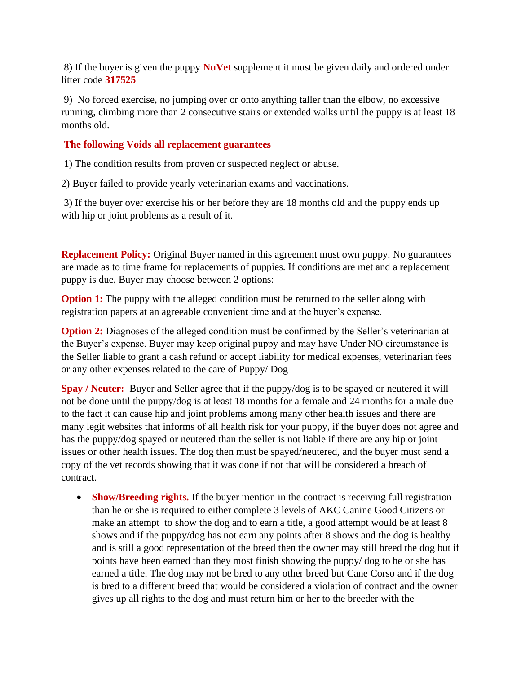8) If the buyer is given the puppy **NuVet** supplement it must be given daily and ordered under litter code **317525**

9) No forced exercise, no jumping over or onto anything taller than the elbow, no excessive running, climbing more than 2 consecutive stairs or extended walks until the puppy is at least 18 months old.

## **The following Voids all replacement guarantees**

1) The condition results from proven or suspected neglect or abuse.

2) Buyer failed to provide yearly veterinarian exams and vaccinations.

3) If the buyer over exercise his or her before they are 18 months old and the puppy ends up with hip or joint problems as a result of it.

**Replacement Policy:** Original Buyer named in this agreement must own puppy. No guarantees are made as to time frame for replacements of puppies. If conditions are met and a replacement puppy is due, Buyer may choose between 2 options:

**Option 1:** The puppy with the alleged condition must be returned to the seller along with registration papers at an agreeable convenient time and at the buyer's expense.

**Option 2:** Diagnoses of the alleged condition must be confirmed by the Seller's veterinarian at the Buyer's expense. Buyer may keep original puppy and may have Under NO circumstance is the Seller liable to grant a cash refund or accept liability for medical expenses, veterinarian fees or any other expenses related to the care of Puppy/ Dog

**Spay / Neuter:** Buyer and Seller agree that if the puppy/dog is to be spayed or neutered it will not be done until the puppy/dog is at least 18 months for a female and 24 months for a male due to the fact it can cause hip and joint problems among many other health issues and there are many legit websites that informs of all health risk for your puppy, if the buyer does not agree and has the puppy/dog spayed or neutered than the seller is not liable if there are any hip or joint issues or other health issues. The dog then must be spayed/neutered, and the buyer must send a copy of the vet records showing that it was done if not that will be considered a breach of contract.

• **Show/Breeding rights.** If the buyer mention in the contract is receiving full registration than he or she is required to either complete 3 levels of AKC Canine Good Citizens or make an attempt to show the dog and to earn a title, a good attempt would be at least 8 shows and if the puppy/dog has not earn any points after 8 shows and the dog is healthy and is still a good representation of the breed then the owner may still breed the dog but if points have been earned than they most finish showing the puppy/ dog to he or she has earned a title. The dog may not be bred to any other breed but Cane Corso and if the dog is bred to a different breed that would be considered a violation of contract and the owner gives up all rights to the dog and must return him or her to the breeder with the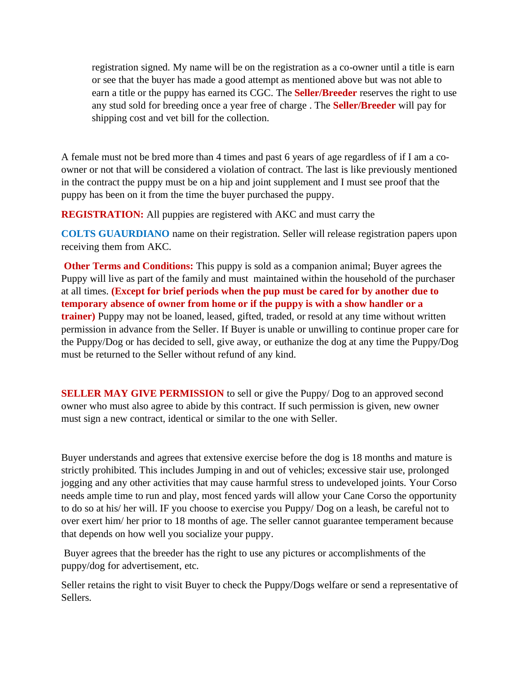registration signed. My name will be on the registration as a co-owner until a title is earn or see that the buyer has made a good attempt as mentioned above but was not able to earn a title or the puppy has earned its CGC. The **Seller/Breeder** reserves the right to use any stud sold for breeding once a year free of charge . The **Seller/Breeder** will pay for shipping cost and vet bill for the collection.

A female must not be bred more than 4 times and past 6 years of age regardless of if I am a coowner or not that will be considered a violation of contract. The last is like previously mentioned in the contract the puppy must be on a hip and joint supplement and I must see proof that the puppy has been on it from the time the buyer purchased the puppy.

**REGISTRATION:** All puppies are registered with AKC and must carry the

**COLTS GUAURDIANO** name on their registration. Seller will release registration papers upon receiving them from AKC.

**Other Terms and Conditions:** This puppy is sold as a companion animal; Buyer agrees the Puppy will live as part of the family and must maintained within the household of the purchaser at all times. **(Except for brief periods when the pup must be cared for by another due to temporary absence of owner from home or if the puppy is with a show handler or a trainer)** Puppy may not be loaned, leased, gifted, traded, or resold at any time without written permission in advance from the Seller. If Buyer is unable or unwilling to continue proper care for the Puppy/Dog or has decided to sell, give away, or euthanize the dog at any time the Puppy/Dog must be returned to the Seller without refund of any kind.

**SELLER MAY GIVE PERMISSION** to sell or give the Puppy/Dog to an approved second owner who must also agree to abide by this contract. If such permission is given, new owner must sign a new contract, identical or similar to the one with Seller.

Buyer understands and agrees that extensive exercise before the dog is 18 months and mature is strictly prohibited. This includes Jumping in and out of vehicles; excessive stair use, prolonged jogging and any other activities that may cause harmful stress to undeveloped joints. Your Corso needs ample time to run and play, most fenced yards will allow your Cane Corso the opportunity to do so at his/ her will. IF you choose to exercise you Puppy/ Dog on a leash, be careful not to over exert him/ her prior to 18 months of age. The seller cannot guarantee temperament because that depends on how well you socialize your puppy.

Buyer agrees that the breeder has the right to use any pictures or accomplishments of the puppy/dog for advertisement, etc.

Seller retains the right to visit Buyer to check the Puppy/Dogs welfare or send a representative of Sellers.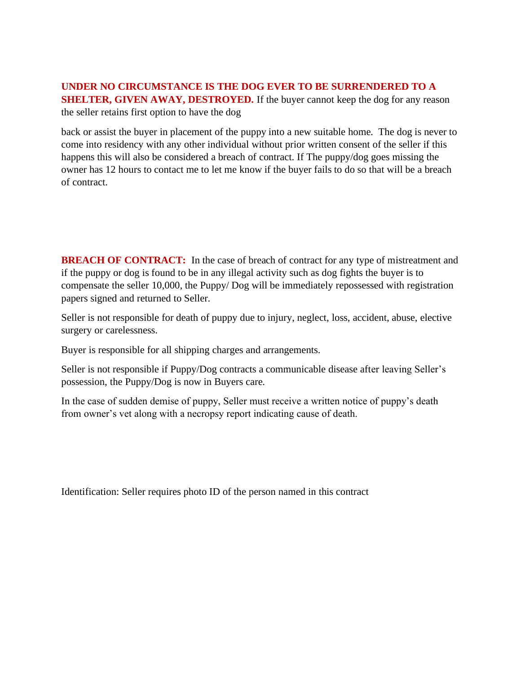## **UNDER NO CIRCUMSTANCE IS THE DOG EVER TO BE SURRENDERED TO A SHELTER, GIVEN AWAY, DESTROYED.** If the buyer cannot keep the dog for any reason the seller retains first option to have the dog

back or assist the buyer in placement of the puppy into a new suitable home. The dog is never to come into residency with any other individual without prior written consent of the seller if this happens this will also be considered a breach of contract. If The puppy/dog goes missing the owner has 12 hours to contact me to let me know if the buyer fails to do so that will be a breach of contract.

**BREACH OF CONTRACT:** In the case of breach of contract for any type of mistreatment and if the puppy or dog is found to be in any illegal activity such as dog fights the buyer is to compensate the seller 10,000, the Puppy/ Dog will be immediately repossessed with registration papers signed and returned to Seller.

Seller is not responsible for death of puppy due to injury, neglect, loss, accident, abuse, elective surgery or carelessness.

Buyer is responsible for all shipping charges and arrangements.

Seller is not responsible if Puppy/Dog contracts a communicable disease after leaving Seller's possession, the Puppy/Dog is now in Buyers care.

In the case of sudden demise of puppy, Seller must receive a written notice of puppy's death from owner's vet along with a necropsy report indicating cause of death.

Identification: Seller requires photo ID of the person named in this contract